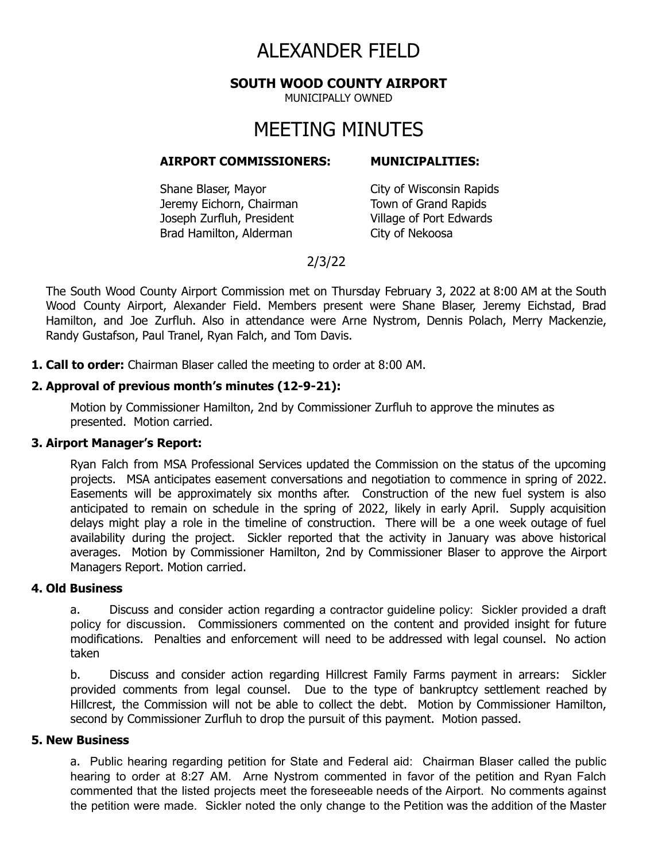# ALEXANDER FIELD

### **SOUTH WOOD COUNTY AIRPORT**

MUNICIPALLY OWNED

## MEETING MINUTES

#### **AIRPORT COMMISSIONERS: MUNICIPALITIES:**

Shane Blaser, Mayor City of Wisconsin Rapids Jeremy Eichorn, Chairman Town of Grand Rapids Joseph Zurfluh, President Village of Port Edwards Brad Hamilton, Alderman City of Nekoosa

## 2/3/22

The South Wood County Airport Commission met on Thursday February 3, 2022 at 8:00 AM at the South Wood County Airport, Alexander Field. Members present were Shane Blaser, Jeremy Eichstad, Brad Hamilton, and Joe Zurfluh. Also in attendance were Arne Nystrom, Dennis Polach, Merry Mackenzie, Randy Gustafson, Paul Tranel, Ryan Falch, and Tom Davis.

**1. Call to order:** Chairman Blaser called the meeting to order at 8:00 AM.

#### **2. Approval of previous month's minutes (12-9-21):**

Motion by Commissioner Hamilton, 2nd by Commissioner Zurfluh to approve the minutes as presented. Motion carried.

#### **3. Airport Manager's Report:**

Ryan Falch from MSA Professional Services updated the Commission on the status of the upcoming projects. MSA anticipates easement conversations and negotiation to commence in spring of 2022. Easements will be approximately six months after. Construction of the new fuel system is also anticipated to remain on schedule in the spring of 2022, likely in early April. Supply acquisition delays might play a role in the timeline of construction. There will be a one week outage of fuel availability during the project. Sickler reported that the activity in January was above historical averages. Motion by Commissioner Hamilton, 2nd by Commissioner Blaser to approve the Airport Managers Report. Motion carried.

#### **4. Old Business**

a. Discuss and consider action regarding a contractor guideline policy: Sickler provided a draft policy for discussion. Commissioners commented on the content and provided insight for future modifications. Penalties and enforcement will need to be addressed with legal counsel. No action taken

b. Discuss and consider action regarding Hillcrest Family Farms payment in arrears: Sickler provided comments from legal counsel. Due to the type of bankruptcy settlement reached by Hillcrest, the Commission will not be able to collect the debt. Motion by Commissioner Hamilton, second by Commissioner Zurfluh to drop the pursuit of this payment. Motion passed.

### **5. New Business**

a. Public hearing regarding petition for State and Federal aid: Chairman Blaser called the public hearing to order at 8:27 AM. Arne Nystrom commented in favor of the petition and Ryan Falch commented that the listed projects meet the foreseeable needs of the Airport. No comments against the petition were made. Sickler noted the only change to the Petition was the addition of the Master